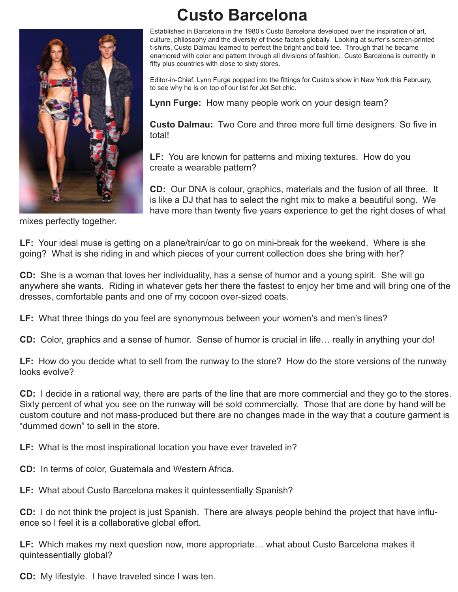

## **Custo Barcelona**

Established in Barcelona in the 1980's Custo Barcelona developed over the inspiration of art, culture, philosophy and the diversity of those factors globally. Looking at surfer's screen-printed t-shirts, Custo Dalmau learned to perfect the bright and bold tee. Through that he became enamored with color and pattern through all divisions of fashion. Custo Barcelona is currently in fifty plus countries with close to sixty stores.

Editor-in-Chief, Lynn Furge popped into the fittings for Custo's show in New York this February, to see why he is on top of our list for Jet Set chic.

**Lynn Furge:** How many people work on your design team?

 **Custo Dalmau:** Two Core and three more full time designers. So five in total!

 **LF:** You are known for patterns and mixing textures. How do you create a wearable pattern?

 **CD:** Our DNA is colour, graphics, materials and the fusion of all three. It is like a DJ that has to select the right mix to make a beautiful song. We have more than twenty five years experience to get the right doses of what

mixes perfectly together.

**LF:** Your ideal muse is getting on a plane/train/car to go on mini-break for the weekend. Where is she going? What is she riding in and which pieces of your current collection does she bring with her?

**CD:** She is a woman that loves her individuality, has a sense of humor and a young spirit. She will go anywhere she wants. Riding in whatever gets her there the fastest to enjoy her time and will bring one of the dresses, comfortable pants and one of my cocoon over-sized coats.

**LF:** What three things do you feel are synonymous between your women's and men's lines?

**CD:** Color, graphics and a sense of humor. Sense of humor is crucial in life… really in anything your do!

**LF:** How do you decide what to sell from the runway to the store? How do the store versions of the runway looks evolve?

**CD:** I decide in a rational way, there are parts of the line that are more commercial and they go to the stores. Sixty percent of what you see on the runway will be sold commercially. Those that are done by hand will be custom couture and not mass-produced but there are no changes made in the way that a couture garment is "dummed down" to sell in the store.

**LF:** What is the most inspirational location you have ever traveled in?

**CD:** In terms of color, Guatemala and Western Africa.

**LF:** What about Custo Barcelona makes it quintessentially Spanish?

**CD:** I do not think the project is just Spanish. There are always people behind the project that have influence so I feel it is a collaborative global effort.

**LF:** Which makes my next question now, more appropriate… what about Custo Barcelona makes it quintessentially global?

**CD:** My lifestyle. I have traveled since I was ten.